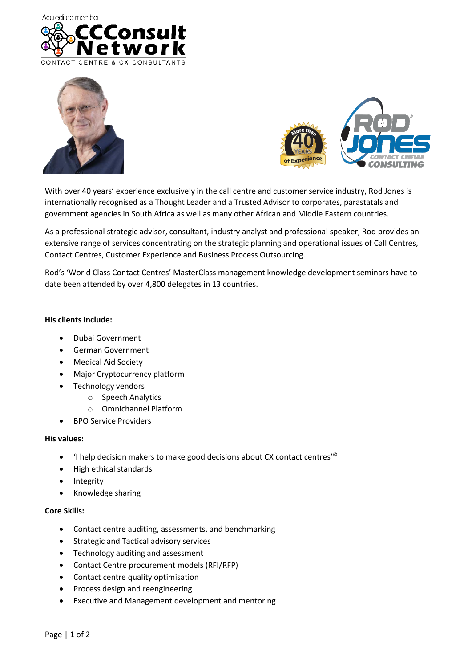





With over 40 years' experience exclusively in the call centre and customer service industry, Rod Jones is internationally recognised as a Thought Leader and a Trusted Advisor to corporates, parastatals and government agencies in South Africa as well as many other African and Middle Eastern countries.

As a professional strategic advisor, consultant, industry analyst and professional speaker, Rod provides an extensive range of services concentrating on the strategic planning and operational issues of Call Centres, Contact Centres, Customer Experience and Business Process Outsourcing.

Rod's 'World Class Contact Centres' MasterClass management knowledge development seminars have to date been attended by over 4,800 delegates in 13 countries.

## **His clients include:**

- Dubai Government
- German Government
- Medical Aid Society
- Major Cryptocurrency platform
- Technology vendors
	- o Speech Analytics
	- o Omnichannel Platform
- BPO Service Providers

## **His values:**

- 'I help decision makers to make good decisions about CX contact centres'<sup>©</sup>
- High ethical standards
- Integrity
- Knowledge sharing

## **Core Skills:**

- Contact centre auditing, assessments, and benchmarking
- Strategic and Tactical advisory services
- Technology auditing and assessment
- Contact Centre procurement models (RFI/RFP)
- Contact centre quality optimisation
- Process design and reengineering
- Executive and Management development and mentoring